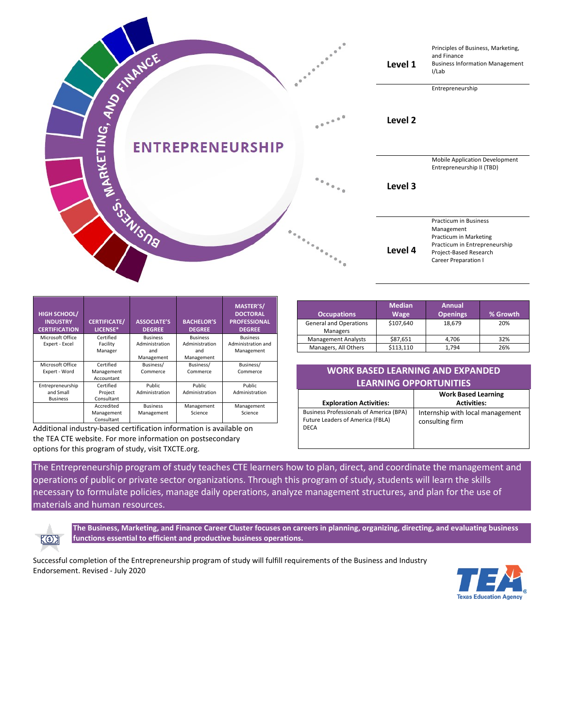

| <b>HIGH SCHOOL/</b><br><b>INDUSTRY</b><br><b>CERTIFICATION</b> | <b>CERTIFICATE/</b><br>LICENSE* | <b>ASSOCIATE'S</b><br><b>DEGREE</b> | <b>BACHELOR'S</b><br><b>DEGREE</b> | <b>MASTER'S/</b><br><b>DOCTORAL</b><br><b>PROFESSIONAL</b><br><b>DEGREE</b> |
|----------------------------------------------------------------|---------------------------------|-------------------------------------|------------------------------------|-----------------------------------------------------------------------------|
| Microsoft Office                                               | Certified                       | <b>Business</b>                     | <b>Business</b>                    | <b>Business</b>                                                             |
| Expert - Excel                                                 | Facility                        | Administration                      | Administration                     | Administration and                                                          |
|                                                                | Manager                         | and                                 | and                                | Management                                                                  |
|                                                                |                                 | Management                          | Management                         |                                                                             |
| Microsoft Office                                               | Certified                       | Business/                           | Business/                          | Business/                                                                   |
| Expert - Word                                                  | Management                      | Commerce                            | Commerce                           | Commerce                                                                    |
|                                                                | Accountant                      |                                     |                                    |                                                                             |
| Entrepreneurship                                               | Certified                       | <b>Public</b>                       | Public                             | Public.                                                                     |
| and Small                                                      | Project                         | Administration                      | Administration                     | Administration                                                              |
| <b>Business</b>                                                | Consultant                      |                                     |                                    |                                                                             |
|                                                                | Accredited                      | <b>Business</b>                     | Management                         | Management                                                                  |
|                                                                | Management                      | Management                          | Science                            | Science                                                                     |
|                                                                | Consultant                      |                                     |                                    |                                                                             |

Additional industry-based certification information is available on the TEA CTE website. For more information on postsecondary options for this program of study, visit TXCTE.org.

| Occupations                               | <b>Median</b><br>Wage | <b>Annual</b><br><b>Openings</b> | % Growth |
|-------------------------------------------|-----------------------|----------------------------------|----------|
| <b>General and Operations</b><br>Managers | \$107,640             | 18.679                           | 20%      |
| <b>Management Analysts</b>                | \$87,651              | 4.706                            | 32%      |
| Managers, All Others                      | \$113.110             | 1.794                            | 26%      |

| <b>WORK BASED LEARNING AND EXPANDED</b> |  |  |  |  |
|-----------------------------------------|--|--|--|--|
| <b>LEARNING OPPORTUNITIES</b>           |  |  |  |  |

|                                                                                                   | <b>Work Based Learning</b>                          |
|---------------------------------------------------------------------------------------------------|-----------------------------------------------------|
| <b>Exploration Activities:</b>                                                                    | <b>Activities:</b>                                  |
| <b>Business Professionals of America (BPA)</b><br>Future Leaders of America (FBLA)<br><b>DECA</b> | Internship with local management<br>consulting firm |

The Entrepreneurship program of study teaches CTE learners how to plan, direct, and coordinate the management and operations of public or private sector organizations. Through this program of study, students will learn the skills necessary to formulate policies, manage daily operations, analyze management structures, and plan for the use of materials and human resources.

 $K()$ 

**The Business, Marketing, and Finance Career Cluster focuses on careers in planning, organizing, directing, and evaluating business functions essential to efficient and productive business operations.**

Successful completion of the Entrepreneurship program of study will fulfill requirements of the Business and Industry Endorsement. Revised - July 2020